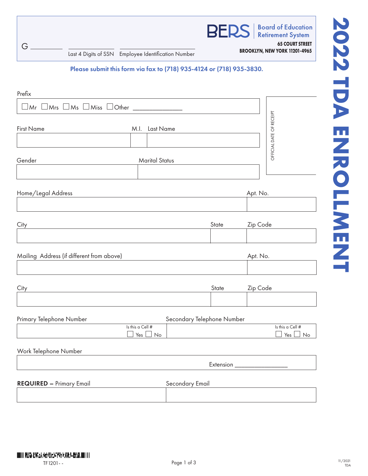

**Board of Education Retirement System** 

**65 COURT STREET**

**BROOKLYN, NEW YORK 11201-4965** Last 4 Digits of SSN Employee Identification Number

G

Please submit this form via fax to (718) 935-4124 or (718) 935-3830.

| Prefix                                                                                            |                                   |                            |       |          |                                   |
|---------------------------------------------------------------------------------------------------|-----------------------------------|----------------------------|-------|----------|-----------------------------------|
| $\Box$ Mr $\Box$ Mrs $\Box$ Ms $\Box$ Miss $\Box$ Other _______________                           |                                   |                            |       |          |                                   |
| <b>First Name</b>                                                                                 | M.I. Last Name                    |                            |       |          | OFFICIAL DATE OF RECEIPT          |
| Gender                                                                                            | <b>Marital Status</b>             |                            |       |          |                                   |
| Home/Legal Address                                                                                |                                   |                            |       | Apt. No. |                                   |
| City                                                                                              |                                   |                            | State | Zip Code |                                   |
| Mailing Address (if different from above)                                                         |                                   |                            |       | Apt. No. |                                   |
| City<br>the control of the control of the control of the control of the control of the control of |                                   |                            | State | Zip Code |                                   |
| Primary Telephone Number                                                                          | Is this a Cell #<br>Yes $\Box$ No | Secondary Telephone Number |       |          | Is this a Cell #<br>$Yes \Box No$ |
| Work Telephone Number                                                                             |                                   |                            |       |          |                                   |
|                                                                                                   |                                   |                            |       |          |                                   |
| <b>REQUIRED - Primary Email</b>                                                                   |                                   | Secondary Email            |       |          |                                   |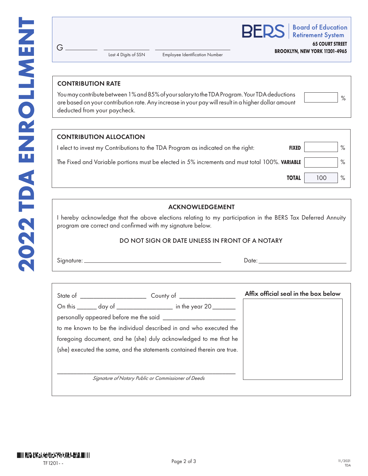**BERS** 

**Board of Education Retirement System** 

**65 COURT STREET BROOKLYN, NEW YORK 11201-4965**

Last 4 Digits of SSN

Employee Identification Number

### CONTRIBUTION RATE

 $G<sub>-</sub>$ 

You may contribute between 1% and 85% of your salary to the TDA Program. Your TDA deductions are based on your contribution rate. Any increase in your pay will result in a higher dollar amount deducted from your paycheck.

|  | о |
|--|---|
|  |   |

| <b>CONTRIBUTION ALLOCATION</b>                                                                 |     |      |
|------------------------------------------------------------------------------------------------|-----|------|
| elect to invest my Contributions to the TDA Program as indicated on the right:<br><b>FIXED</b> |     | $\%$ |
| The Fixed and Variable portions must be elected in 5% increments and must total 100%. VARIABLE |     | $\%$ |
| <b>TOTAL</b>                                                                                   | 100 | $\%$ |

## ACKNOWLEDGEMENT

I hereby acknowledge that the above elections relating to my participation in the BERS Tax Deferred Annuity program are correct and confirmed with my signature below.

#### DO NOT SIGN OR DATE UNLESS IN FRONT OF A NOTARY

Signature: <u>Date: Date: Date: Date: Date: Date: Date: Date: Date: Date: Date: Date: Date: Date: Date: Date: Date: Date: Date: Date: Date: Date: Date: Date: Date: Date: Date: Date: Date: Date: Date: Date: Date: Date: Date: </u>

|                                                                         |                                                     | Affix official seal in the box below |
|-------------------------------------------------------------------------|-----------------------------------------------------|--------------------------------------|
| On this _______ day of __________________ in the year 20 _______        |                                                     |                                      |
|                                                                         |                                                     |                                      |
| to me known to be the individual described in and who executed the      |                                                     |                                      |
| foregoing document, and he (she) duly acknowledged to me that he        |                                                     |                                      |
| (she) executed the same, and the statements contained therein are true. |                                                     |                                      |
|                                                                         |                                                     |                                      |
|                                                                         |                                                     |                                      |
|                                                                         | Signature of Notary Public or Commissioner of Deeds |                                      |